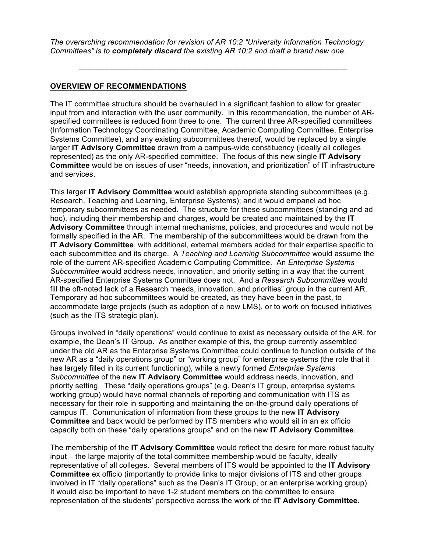*The overarching recommendation for revision of AR 10:2 "University Information Technology Committees" is to completely discard the existing AR 10:2 and draft a brand new one.*

———————————————————————————————————

#### **OVERVIEW OF RECOMMENDATIONS**

The IT committee structure should be overhauled in a significant fashion to allow for greater input from and interaction with the user community. In this recommendation, the number of ARspecified committees is reduced from three to one. The current three AR-specified committees (Information Technology Coordinating Committee, Academic Computing Committee, Enterprise Systems Committee), and any existing subcommittees thereof, would be replaced by a single larger **IT Advisory Committee** drawn from a campus-wide constituency (ideally all colleges represented) as the only AR-specified committee. The focus of this new single **IT Advisory Committee** would be on issues of user "needs, innovation, and prioritization" of IT infrastructure and services.

This larger **IT Advisory Committee** would establish appropriate standing subcommittees (e.g. Research, Teaching and Learning, Enterprise Systems); and it would empanel ad hoc temporary subcommittees as needed. The structure for these subcommittees (standing and ad hoc), including their membership and charges, would be created and maintained by the **IT Advisory Committee** through internal mechanisms, policies, and procedures and would not be formally specified in the AR. The membership of the subcommittees would be drawn from the **IT Advisory Committee**, with additional, external members added for their expertise specific to each subcommittee and its charge. A *Teaching and Learning Subcommittee* would assume the role of the current AR-specified Academic Computing Committee. An *Enterprise Systems Subcommittee* would address needs, innovation, and priority setting in a way that the current AR-specified Enterprise Systems Committee does not. And a *Research Subcommittee* would fill the oft-noted lack of a Research "needs, innovation, and priorities" group in the current AR. Temporary ad hoc subcommittees would be created, as they have been in the past, to accommodate large projects (such as adoption of a new LMS), or to work on focused initiatives (such as the ITS strategic plan).

Groups involved in "daily operations" would continue to exist as necessary outside of the AR, for example, the Dean's IT Group. As another example of this, the group currently assembled under the old AR as the Enterprise Systems Committee could continue to function outside of the new AR as a "daily operations group" or "working group" for enterprise systems (the role that it has largely filled in its current functioning), while a newly formed *Enterprise Systems Subcommittee* of the new **IT Advisory Committee** would address needs, innovation, and priority setting. These "daily operations groups" (e.g. Dean's IT group, enterprise systems working group) would have normal channels of reporting and communication with ITS as necessary for their role in supporting and maintaining the on-the-ground daily operations of campus IT. Communication of information from these groups to the new **IT Advisory Committee** and back would be performed by ITS members who would sit in an ex officio capacity both on these "daily operations groups" and on the new **IT Advisory Committee**.

The membership of the **IT Advisory Committee** would reflect the desire for more robust faculty input – the large majority of the total committee membership would be faculty, ideally representative of all colleges. Several members of ITS would be appointed to the **IT Advisory Committee** ex officio (importantly to provide links to major divisions of ITS and other groups involved in IT "daily operations" such as the Dean's IT Group, or an enterprise working group). It would also be important to have 1-2 student members on the committee to ensure representation of the students' perspective across the work of the **IT Advisory Committee**.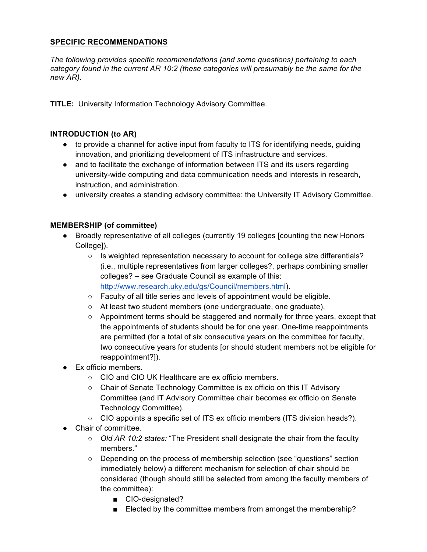# **SPECIFIC RECOMMENDATIONS**

*The following provides specific recommendations (and some questions) pertaining to each category found in the current AR 10:2 (these categories will presumably be the same for the new AR).*

**TITLE:** University Information Technology Advisory Committee.

# **INTRODUCTION (to AR)**

- to provide a channel for active input from faculty to ITS for identifying needs, guiding innovation, and prioritizing development of ITS infrastructure and services.
- and to facilitate the exchange of information between ITS and its users regarding university-wide computing and data communication needs and interests in research, instruction, and administration.
- university creates a standing advisory committee: the University IT Advisory Committee.

#### **MEMBERSHIP (of committee)**

- Broadly representative of all colleges (currently 19 colleges [counting the new Honors College]).
	- Is weighted representation necessary to account for college size differentials? (i.e., multiple representatives from larger colleges?, perhaps combining smaller colleges? – see Graduate Council as example of this: http://www.research.uky.edu/gs/Council/members.html).
	- Faculty of all title series and levels of appointment would be eligible.
	- At least two student members (one undergraduate, one graduate).
	- Appointment terms should be staggered and normally for three years, except that the appointments of students should be for one year. One-time reappointments are permitted (for a total of six consecutive years on the committee for faculty, two consecutive years for students [or should student members not be eligible for reappointment?]).
- Ex officio members.
	- CIO and CIO UK Healthcare are ex officio members.
	- Chair of Senate Technology Committee is ex officio on this IT Advisory Committee (and IT Advisory Committee chair becomes ex officio on Senate Technology Committee).
	- CIO appoints a specific set of ITS ex officio members (ITS division heads?).
- Chair of committee.
	- *Old AR 10:2 states:* "The President shall designate the chair from the faculty members."
	- Depending on the process of membership selection (see "questions" section immediately below) a different mechanism for selection of chair should be considered (though should still be selected from among the faculty members of the committee):
		- CIO-designated?
		- Elected by the committee members from amongst the membership?